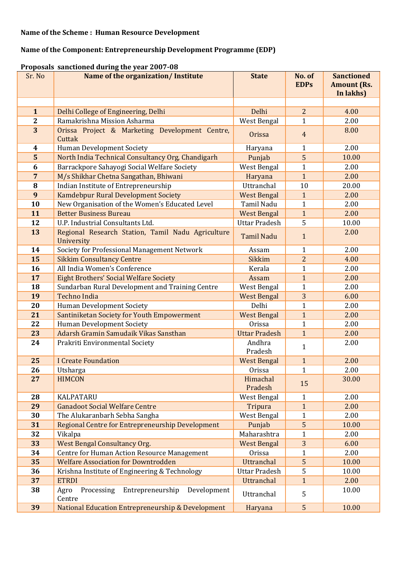## **Name of the Scheme : Human Resource Development**

## **Name of the Component: Entrepreneurship Development Programme (EDP)**

| Sr. No                  | Name of the organization/Institute                              | <b>State</b>         | No. of<br><b>EDPs</b> | <b>Sanctioned</b><br><b>Amount (Rs.</b> |
|-------------------------|-----------------------------------------------------------------|----------------------|-----------------------|-----------------------------------------|
|                         |                                                                 |                      |                       | In lakhs)                               |
|                         |                                                                 |                      |                       |                                         |
| $\mathbf{1}$            | Delhi College of Engineering, Delhi                             | Delhi                | $\overline{2}$        | 4.00                                    |
| $\overline{2}$          | Ramakrishna Mission Asharma                                     | West Bengal          | $\mathbf{1}$          | 2.00                                    |
| 3                       | Orissa Project & Marketing Development Centre,<br>Cuttak        | <b>Orissa</b>        | $\overline{4}$        | 8.00                                    |
| $\boldsymbol{4}$        | Human Development Society                                       | Haryana              | $\mathbf{1}$          | 2.00                                    |
| $\overline{\mathbf{5}}$ | North India Technical Consultancy Org, Chandigarh               | Punjab               | 5                     | 10.00                                   |
| 6                       | Barrackpore Sahayogi Social Welfare Society                     | <b>West Bengal</b>   | $\mathbf{1}$          | 2.00                                    |
| $\overline{7}$          | M/s Shikhar Chetna Sangathan, Bhiwani                           | Haryana              | $\overline{1}$        | 2.00                                    |
| 8                       | Indian Institute of Entrepreneurship                            | Uttranchal           | 10                    | 20.00                                   |
| 9                       | <b>Kamdebpur Rural Development Society</b>                      | <b>West Bengal</b>   | $\mathbf{1}$          | 2.00                                    |
| 10                      | New Organisation of the Women's Educated Level                  | Tamil Nadu           | $\mathbf{1}$          | 2.00                                    |
| 11                      | <b>Better Business Bureau</b>                                   | <b>West Bengal</b>   | $\mathbf{1}$          | 2.00                                    |
| 12                      | U.P. Industrial Consultants Ltd.                                | <b>Uttar Pradesh</b> | 5                     | 10.00                                   |
| 13                      | Regional Research Station, Tamil Nadu Agriculture<br>University | <b>Tamil Nadu</b>    | $\mathbf{1}$          | 2.00                                    |
| 14                      | Society for Professional Management Network                     | Assam                | $\mathbf{1}$          | 2.00                                    |
| 15                      | <b>Sikkim Consultancy Centre</b>                                | <b>Sikkim</b>        | $\overline{2}$        | 4.00                                    |
| 16                      | All India Women's Conference                                    | Kerala               | $\mathbf{1}$          | 2.00                                    |
| 17                      | <b>Eight Brothers' Social Welfare Society</b>                   | Assam                | $\mathbf{1}$          | 2.00                                    |
| 18                      | Sundarban Rural Development and Training Centre                 | West Bengal          | $\mathbf{1}$          | 2.00                                    |
| 19                      | <b>Techno India</b>                                             | <b>West Bengal</b>   | 3                     | 6.00                                    |
| 20                      | <b>Human Development Society</b>                                | Delhi                | $\mathbf{1}$          | 2.00                                    |
| 21                      | Santiniketan Society for Youth Empowerment                      | <b>West Bengal</b>   | $\mathbf{1}$          | 2.00                                    |
| 22                      | <b>Human Development Society</b>                                | Orissa               | $\mathbf{1}$          | 2.00                                    |
| 23                      | Adarsh Gramin Samudaik Vikas Sansthan                           | <b>Uttar Pradesh</b> | $\mathbf{1}$          | 2.00                                    |
| 24                      | Prakriti Environmental Society                                  | Andhra<br>Pradesh    | $\mathbf{1}$          | 2.00                                    |
| 25                      | <b>I Create Foundation</b>                                      | <b>West Bengal</b>   | $\mathbf{1}$          | 2.00                                    |
| 26                      | Utsharga                                                        | Orissa               | $\mathbf{1}$          | 2.00                                    |
| 27                      | <b>HIMCON</b>                                                   | Himachal<br>Pradesh  | 15                    | 30.00                                   |
| 28                      | KALPATARU                                                       | West Bengal          | $\mathbf{1}$          | 2.00                                    |
| 29                      | <b>Ganadoot Social Welfare Centre</b>                           | Tripura              | $\mathbf{1}$          | 2.00                                    |
| 30                      | The Alukaranbarh Sebha Sangha                                   | West Bengal          | $\mathbf{1}$          | 2.00                                    |
| 31                      | Regional Centre for Entrepreneurship Development                | Punjab               | 5                     | 10.00                                   |
| 32                      | Vikalpa                                                         | Maharashtra          | $\mathbf{1}$          | 2.00                                    |
| 33                      | <b>West Bengal Consultancy Org.</b>                             | <b>West Bengal</b>   | 3                     | 6.00                                    |
| 34                      | Centre for Human Action Resource Management                     | Orissa               | $\mathbf{1}$          | 2.00                                    |
| 35                      | <b>Welfare Association for Downtrodden</b>                      | Uttranchal           | 5                     | 10.00                                   |
| 36                      | Krishna Institute of Engineering & Technology                   | <b>Uttar Pradesh</b> | 5                     | 10.00                                   |
| 37                      | <b>ETRDI</b>                                                    | Uttranchal           | $\overline{1}$        | 2.00                                    |
| 38                      | Entrepreneurship<br>Processing<br>Development<br>Agro<br>Centre | Uttranchal           | 5                     | 10.00                                   |
| 39                      | National Education Entrepreneurship & Development               | Haryana              | 5                     | 10.00                                   |

## **Proposals sanctioned during the year 2007-08**